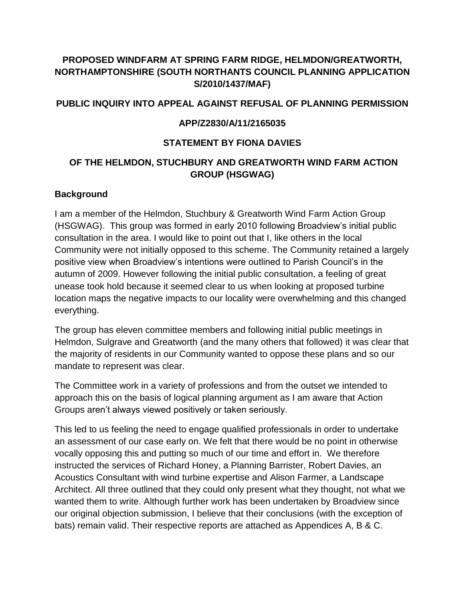# **PROPOSED WINDFARM AT SPRING FARM RIDGE, HELMDON/GREATWORTH, NORTHAMPTONSHIRE (SOUTH NORTHANTS COUNCIL PLANNING APPLICATION S/2010/1437/MAF)**

### **PUBLIC INQUIRY INTO APPEAL AGAINST REFUSAL OF PLANNING PERMISSION**

### **APP/Z2830/A/11/2165035**

### **STATEMENT BY FIONA DAVIES**

## **OF THE HELMDON, STUCHBURY AND GREATWORTH WIND FARM ACTION GROUP (HSGWAG)**

#### **Background**

I am a member of the Helmdon, Stuchbury & Greatworth Wind Farm Action Group (HSGWAG). This group was formed in early 2010 following Broadview's initial public consultation in the area. I would like to point out that I, like others in the local Community were not initially opposed to this scheme. The Community retained a largely positive view when Broadview's intentions were outlined to Parish Council's in the autumn of 2009. However following the initial public consultation, a feeling of great unease took hold because it seemed clear to us when looking at proposed turbine location maps the negative impacts to our locality were overwhelming and this changed everything.

The group has eleven committee members and following initial public meetings in Helmdon, Sulgrave and Greatworth (and the many others that followed) it was clear that the majority of residents in our Community wanted to oppose these plans and so our mandate to represent was clear.

The Committee work in a variety of professions and from the outset we intended to approach this on the basis of logical planning argument as I am aware that Action Groups aren't always viewed positively or taken seriously.

This led to us feeling the need to engage qualified professionals in order to undertake an assessment of our case early on. We felt that there would be no point in otherwise vocally opposing this and putting so much of our time and effort in. We therefore instructed the services of Richard Honey, a Planning Barrister, Robert Davies, an Acoustics Consultant with wind turbine expertise and Alison Farmer, a Landscape Architect. All three outlined that they could only present what they thought, not what we wanted them to write. Although further work has been undertaken by Broadview since our original objection submission, I believe that their conclusions (with the exception of bats) remain valid. Their respective reports are attached as Appendices A, B & C.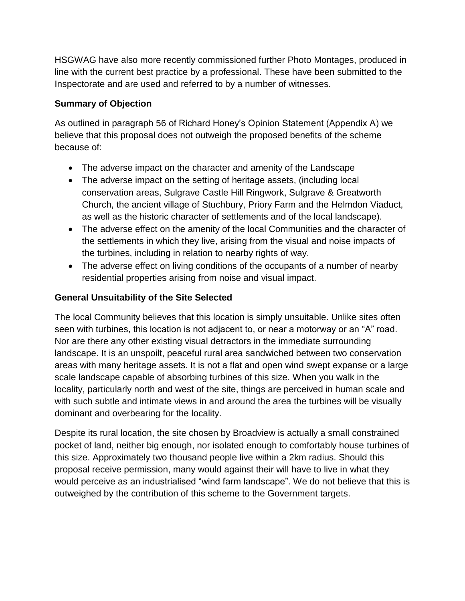HSGWAG have also more recently commissioned further Photo Montages, produced in line with the current best practice by a professional. These have been submitted to the Inspectorate and are used and referred to by a number of witnesses.

# **Summary of Objection**

As outlined in paragraph 56 of Richard Honey's Opinion Statement (Appendix A) we believe that this proposal does not outweigh the proposed benefits of the scheme because of:

- The adverse impact on the character and amenity of the Landscape
- The adverse impact on the setting of heritage assets, (including local conservation areas, Sulgrave Castle Hill Ringwork, Sulgrave & Greatworth Church, the ancient village of Stuchbury, Priory Farm and the Helmdon Viaduct, as well as the historic character of settlements and of the local landscape).
- The adverse effect on the amenity of the local Communities and the character of the settlements in which they live, arising from the visual and noise impacts of the turbines, including in relation to nearby rights of way.
- The adverse effect on living conditions of the occupants of a number of nearby residential properties arising from noise and visual impact.

# **General Unsuitability of the Site Selected**

The local Community believes that this location is simply unsuitable. Unlike sites often seen with turbines, this location is not adjacent to, or near a motorway or an "A" road. Nor are there any other existing visual detractors in the immediate surrounding landscape. It is an unspoilt, peaceful rural area sandwiched between two conservation areas with many heritage assets. It is not a flat and open wind swept expanse or a large scale landscape capable of absorbing turbines of this size. When you walk in the locality, particularly north and west of the site, things are perceived in human scale and with such subtle and intimate views in and around the area the turbines will be visually dominant and overbearing for the locality.

Despite its rural location, the site chosen by Broadview is actually a small constrained pocket of land, neither big enough, nor isolated enough to comfortably house turbines of this size. Approximately two thousand people live within a 2km radius. Should this proposal receive permission, many would against their will have to live in what they would perceive as an industrialised "wind farm landscape". We do not believe that this is outweighed by the contribution of this scheme to the Government targets.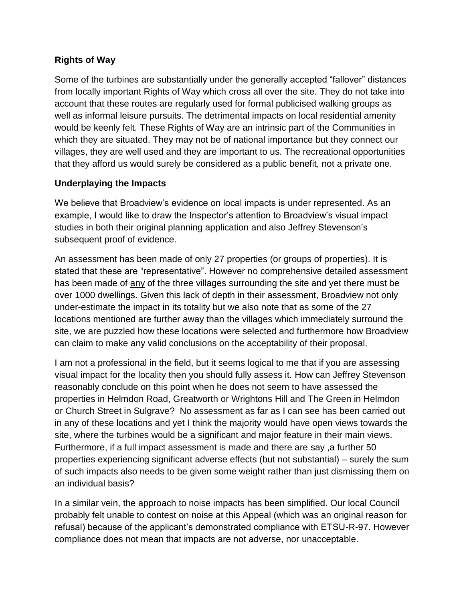## **Rights of Way**

Some of the turbines are substantially under the generally accepted "fallover" distances from locally important Rights of Way which cross all over the site. They do not take into account that these routes are regularly used for formal publicised walking groups as well as informal leisure pursuits. The detrimental impacts on local residential amenity would be keenly felt. These Rights of Way are an intrinsic part of the Communities in which they are situated. They may not be of national importance but they connect our villages, they are well used and they are important to us. The recreational opportunities that they afford us would surely be considered as a public benefit, not a private one.

## **Underplaying the Impacts**

We believe that Broadview's evidence on local impacts is under represented. As an example, I would like to draw the Inspector's attention to Broadview's visual impact studies in both their original planning application and also Jeffrey Stevenson's subsequent proof of evidence.

An assessment has been made of only 27 properties (or groups of properties). It is stated that these are "representative". However no comprehensive detailed assessment has been made of any of the three villages surrounding the site and yet there must be over 1000 dwellings. Given this lack of depth in their assessment, Broadview not only under-estimate the impact in its totality but we also note that as some of the 27 locations mentioned are further away than the villages which immediately surround the site, we are puzzled how these locations were selected and furthermore how Broadview can claim to make any valid conclusions on the acceptability of their proposal.

I am not a professional in the field, but it seems logical to me that if you are assessing visual impact for the locality then you should fully assess it. How can Jeffrey Stevenson reasonably conclude on this point when he does not seem to have assessed the properties in Helmdon Road, Greatworth or Wrightons Hill and The Green in Helmdon or Church Street in Sulgrave? No assessment as far as I can see has been carried out in any of these locations and yet I think the majority would have open views towards the site, where the turbines would be a significant and major feature in their main views. Furthermore, if a full impact assessment is made and there are say ,a further 50 properties experiencing significant adverse effects (but not substantial) – surely the sum of such impacts also needs to be given some weight rather than just dismissing them on an individual basis?

In a similar vein, the approach to noise impacts has been simplified. Our local Council probably felt unable to contest on noise at this Appeal (which was an original reason for refusal) because of the applicant's demonstrated compliance with ETSU-R-97. However compliance does not mean that impacts are not adverse, nor unacceptable.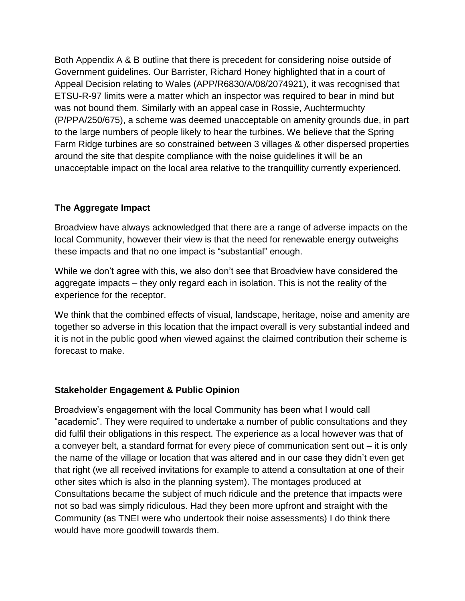Both Appendix A & B outline that there is precedent for considering noise outside of Government guidelines. Our Barrister, Richard Honey highlighted that in a court of Appeal Decision relating to Wales (APP/R6830/A/08/2074921), it was recognised that ETSU-R-97 limits were a matter which an inspector was required to bear in mind but was not bound them. Similarly with an appeal case in Rossie, Auchtermuchty (P/PPA/250/675), a scheme was deemed unacceptable on amenity grounds due, in part to the large numbers of people likely to hear the turbines. We believe that the Spring Farm Ridge turbines are so constrained between 3 villages & other dispersed properties around the site that despite compliance with the noise guidelines it will be an unacceptable impact on the local area relative to the tranquillity currently experienced.

## **The Aggregate Impact**

Broadview have always acknowledged that there are a range of adverse impacts on the local Community, however their view is that the need for renewable energy outweighs these impacts and that no one impact is "substantial" enough.

While we don't agree with this, we also don't see that Broadview have considered the aggregate impacts – they only regard each in isolation. This is not the reality of the experience for the receptor.

We think that the combined effects of visual, landscape, heritage, noise and amenity are together so adverse in this location that the impact overall is very substantial indeed and it is not in the public good when viewed against the claimed contribution their scheme is forecast to make.

## **Stakeholder Engagement & Public Opinion**

Broadview's engagement with the local Community has been what I would call "academic". They were required to undertake a number of public consultations and they did fulfil their obligations in this respect. The experience as a local however was that of a conveyer belt, a standard format for every piece of communication sent out – it is only the name of the village or location that was altered and in our case they didn't even get that right (we all received invitations for example to attend a consultation at one of their other sites which is also in the planning system). The montages produced at Consultations became the subject of much ridicule and the pretence that impacts were not so bad was simply ridiculous. Had they been more upfront and straight with the Community (as TNEI were who undertook their noise assessments) I do think there would have more goodwill towards them.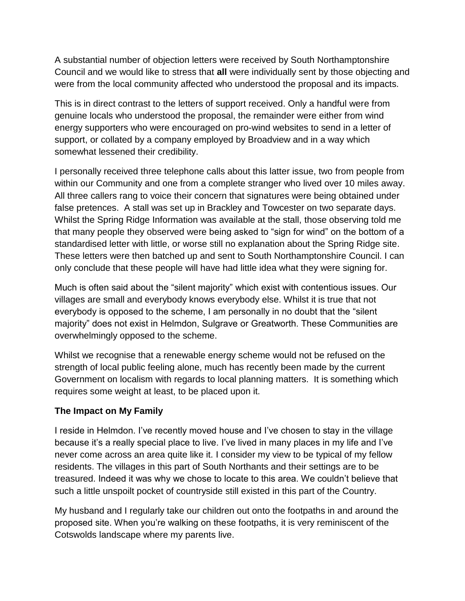A substantial number of objection letters were received by South Northamptonshire Council and we would like to stress that **all** were individually sent by those objecting and were from the local community affected who understood the proposal and its impacts.

This is in direct contrast to the letters of support received. Only a handful were from genuine locals who understood the proposal, the remainder were either from wind energy supporters who were encouraged on pro-wind websites to send in a letter of support, or collated by a company employed by Broadview and in a way which somewhat lessened their credibility.

I personally received three telephone calls about this latter issue, two from people from within our Community and one from a complete stranger who lived over 10 miles away. All three callers rang to voice their concern that signatures were being obtained under false pretences. A stall was set up in Brackley and Towcester on two separate days. Whilst the Spring Ridge Information was available at the stall, those observing told me that many people they observed were being asked to "sign for wind" on the bottom of a standardised letter with little, or worse still no explanation about the Spring Ridge site. These letters were then batched up and sent to South Northamptonshire Council. I can only conclude that these people will have had little idea what they were signing for.

Much is often said about the "silent majority" which exist with contentious issues. Our villages are small and everybody knows everybody else. Whilst it is true that not everybody is opposed to the scheme, I am personally in no doubt that the "silent majority" does not exist in Helmdon, Sulgrave or Greatworth. These Communities are overwhelmingly opposed to the scheme.

Whilst we recognise that a renewable energy scheme would not be refused on the strength of local public feeling alone, much has recently been made by the current Government on localism with regards to local planning matters. It is something which requires some weight at least, to be placed upon it.

## **The Impact on My Family**

I reside in Helmdon. I've recently moved house and I've chosen to stay in the village because it's a really special place to live. I've lived in many places in my life and I've never come across an area quite like it. I consider my view to be typical of my fellow residents. The villages in this part of South Northants and their settings are to be treasured. Indeed it was why we chose to locate to this area. We couldn't believe that such a little unspoilt pocket of countryside still existed in this part of the Country.

My husband and I regularly take our children out onto the footpaths in and around the proposed site. When you're walking on these footpaths, it is very reminiscent of the Cotswolds landscape where my parents live.